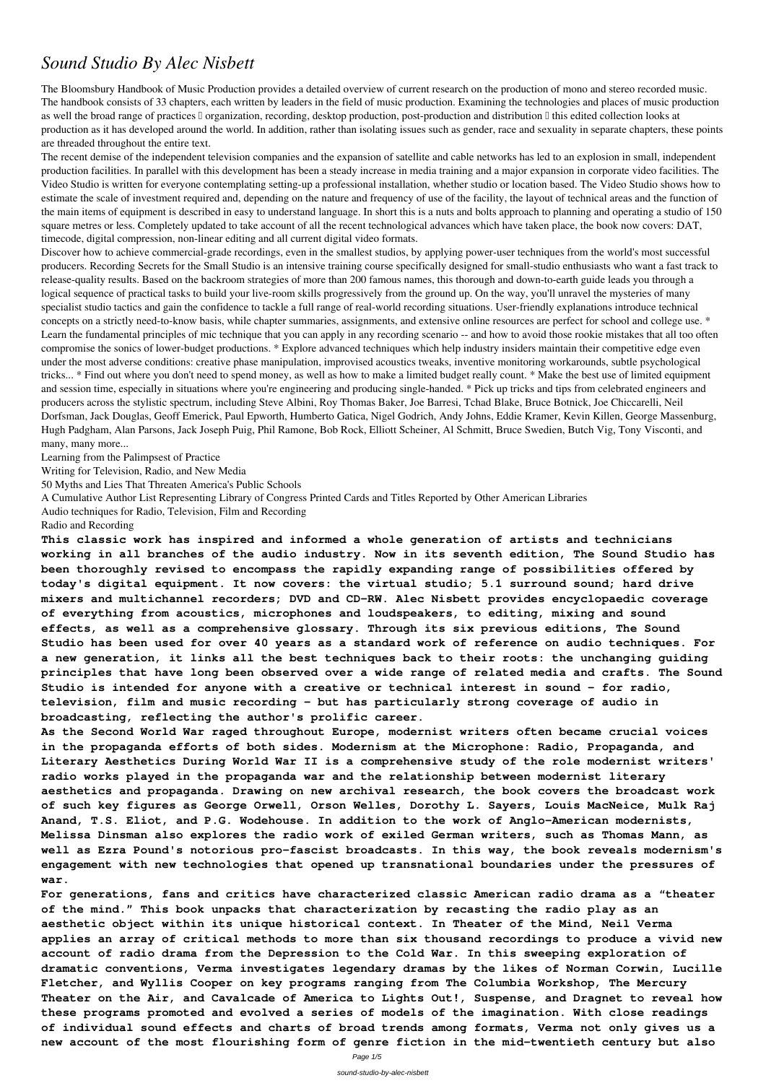# *Sound Studio By Alec Nisbett*

The Bloomsbury Handbook of Music Production provides a detailed overview of current research on the production of mono and stereo recorded music. The handbook consists of 33 chapters, each written by leaders in the field of music production. Examining the technologies and places of music production as well the broad range of practices  $\Box$  organization, recording, desktop production, post-production and distribution  $\Box$  this edited collection looks at production as it has developed around the world. In addition, rather than isolating issues such as gender, race and sexuality in separate chapters, these points are threaded throughout the entire text.

The recent demise of the independent television companies and the expansion of satellite and cable networks has led to an explosion in small, independent production facilities. In parallel with this development has been a steady increase in media training and a major expansion in corporate video facilities. The Video Studio is written for everyone contemplating setting-up a professional installation, whether studio or location based. The Video Studio shows how to estimate the scale of investment required and, depending on the nature and frequency of use of the facility, the layout of technical areas and the function of the main items of equipment is described in easy to understand language. In short this is a nuts and bolts approach to planning and operating a studio of 150 square metres or less. Completely updated to take account of all the recent technological advances which have taken place, the book now covers: DAT, timecode, digital compression, non-linear editing and all current digital video formats.

Discover how to achieve commercial-grade recordings, even in the smallest studios, by applying power-user techniques from the world's most successful producers. Recording Secrets for the Small Studio is an intensive training course specifically designed for small-studio enthusiasts who want a fast track to release-quality results. Based on the backroom strategies of more than 200 famous names, this thorough and down-to-earth guide leads you through a logical sequence of practical tasks to build your live-room skills progressively from the ground up. On the way, you'll unravel the mysteries of many specialist studio tactics and gain the confidence to tackle a full range of real-world recording situations. User-friendly explanations introduce technical concepts on a strictly need-to-know basis, while chapter summaries, assignments, and extensive online resources are perfect for school and college use. \* Learn the fundamental principles of mic technique that you can apply in any recording scenario -- and how to avoid those rookie mistakes that all too often compromise the sonics of lower-budget productions. \* Explore advanced techniques which help industry insiders maintain their competitive edge even under the most adverse conditions: creative phase manipulation, improvised acoustics tweaks, inventive monitoring workarounds, subtle psychological tricks... \* Find out where you don't need to spend money, as well as how to make a limited budget really count. \* Make the best use of limited equipment and session time, especially in situations where you're engineering and producing single-handed. \* Pick up tricks and tips from celebrated engineers and producers across the stylistic spectrum, including Steve Albini, Roy Thomas Baker, Joe Barresi, Tchad Blake, Bruce Botnick, Joe Chiccarelli, Neil Dorfsman, Jack Douglas, Geoff Emerick, Paul Epworth, Humberto Gatica, Nigel Godrich, Andy Johns, Eddie Kramer, Kevin Killen, George Massenburg, Hugh Padgham, Alan Parsons, Jack Joseph Puig, Phil Ramone, Bob Rock, Elliott Scheiner, Al Schmitt, Bruce Swedien, Butch Vig, Tony Visconti, and many, many more...

Learning from the Palimpsest of Practice

Writing for Television, Radio, and New Media

50 Myths and Lies That Threaten America's Public Schools

A Cumulative Author List Representing Library of Congress Printed Cards and Titles Reported by Other American Libraries

Audio techniques for Radio, Television, Film and Recording

### Radio and Recording

**This classic work has inspired and informed a whole generation of artists and technicians working in all branches of the audio industry. Now in its seventh edition, The Sound Studio has been thoroughly revised to encompass the rapidly expanding range of possibilities offered by today's digital equipment. It now covers: the virtual studio; 5.1 surround sound; hard drive mixers and multichannel recorders; DVD and CD-RW. Alec Nisbett provides encyclopaedic coverage of everything from acoustics, microphones and loudspeakers, to editing, mixing and sound effects, as well as a comprehensive glossary. Through its six previous editions, The Sound Studio has been used for over 40 years as a standard work of reference on audio techniques. For a new generation, it links all the best techniques back to their roots: the unchanging guiding principles that have long been observed over a wide range of related media and crafts. The Sound Studio is intended for anyone with a creative or technical interest in sound - for radio, television, film and music recording - but has particularly strong coverage of audio in broadcasting, reflecting the author's prolific career.**

**As the Second World War raged throughout Europe, modernist writers often became crucial voices in the propaganda efforts of both sides. Modernism at the Microphone: Radio, Propaganda, and Literary Aesthetics During World War II is a comprehensive study of the role modernist writers' radio works played in the propaganda war and the relationship between modernist literary aesthetics and propaganda. Drawing on new archival research, the book covers the broadcast work of such key figures as George Orwell, Orson Welles, Dorothy L. Sayers, Louis MacNeice, Mulk Raj Anand, T.S. Eliot, and P.G. Wodehouse. In addition to the work of Anglo-American modernists, Melissa Dinsman also explores the radio work of exiled German writers, such as Thomas Mann, as well as Ezra Pound's notorious pro-fascist broadcasts. In this way, the book reveals modernism's engagement with new technologies that opened up transnational boundaries under the pressures of war. For generations, fans and critics have characterized classic American radio drama as a "theater of the mind." This book unpacks that characterization by recasting the radio play as an aesthetic object within its unique historical context. In Theater of the Mind, Neil Verma applies an array of critical methods to more than six thousand recordings to produce a vivid new account of radio drama from the Depression to the Cold War. In this sweeping exploration of dramatic conventions, Verma investigates legendary dramas by the likes of Norman Corwin, Lucille Fletcher, and Wyllis Cooper on key programs ranging from The Columbia Workshop, The Mercury Theater on the Air, and Cavalcade of America to Lights Out!, Suspense, and Dragnet to reveal how these programs promoted and evolved a series of models of the imagination. With close readings of individual sound effects and charts of broad trends among formats, Verma not only gives us a new account of the most flourishing form of genre fiction in the mid-twentieth century but also**

Page 1/5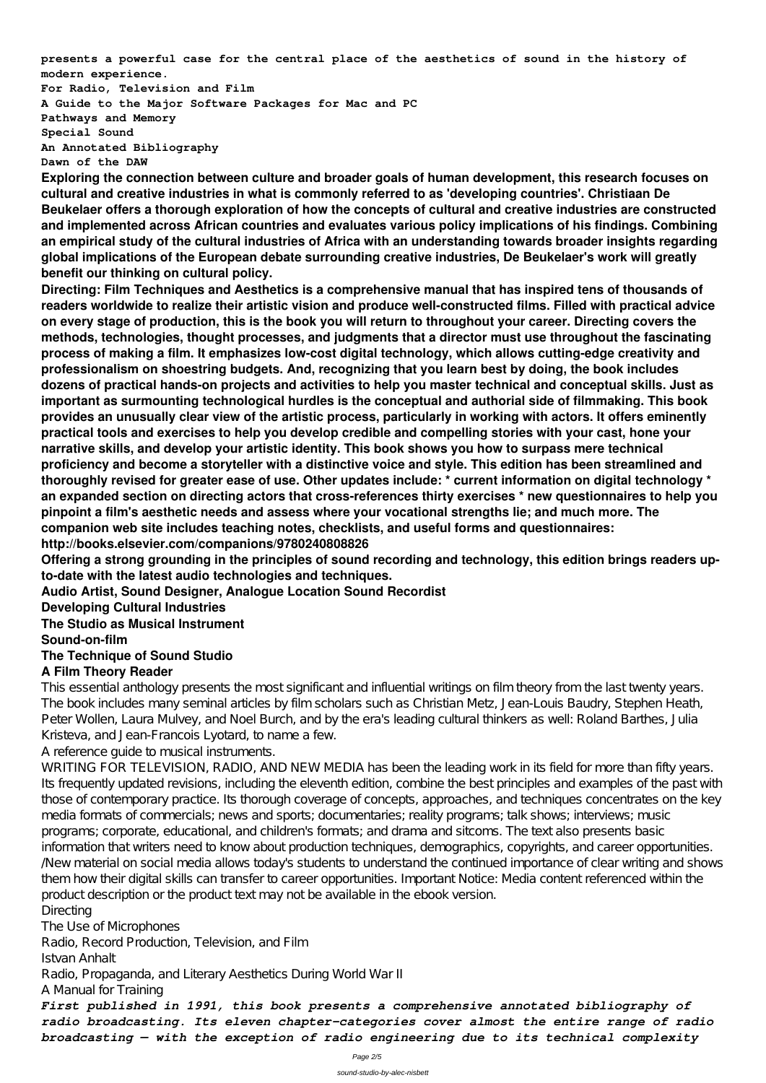**presents a powerful case for the central place of the aesthetics of sound in the history of modern experience.**

**For Radio, Television and Film A Guide to the Major Software Packages for Mac and PC Pathways and Memory Special Sound An Annotated Bibliography Dawn of the DAW**

**Exploring the connection between culture and broader goals of human development, this research focuses on cultural and creative industries in what is commonly referred to as 'developing countries'. Christiaan De Beukelaer offers a thorough exploration of how the concepts of cultural and creative industries are constructed and implemented across African countries and evaluates various policy implications of his findings. Combining an empirical study of the cultural industries of Africa with an understanding towards broader insights regarding global implications of the European debate surrounding creative industries, De Beukelaer's work will greatly benefit our thinking on cultural policy.**

**Directing: Film Techniques and Aesthetics is a comprehensive manual that has inspired tens of thousands of readers worldwide to realize their artistic vision and produce well-constructed films. Filled with practical advice on every stage of production, this is the book you will return to throughout your career. Directing covers the methods, technologies, thought processes, and judgments that a director must use throughout the fascinating process of making a film. It emphasizes low-cost digital technology, which allows cutting-edge creativity and professionalism on shoestring budgets. And, recognizing that you learn best by doing, the book includes dozens of practical hands-on projects and activities to help you master technical and conceptual skills. Just as important as surmounting technological hurdles is the conceptual and authorial side of filmmaking. This book provides an unusually clear view of the artistic process, particularly in working with actors. It offers eminently practical tools and exercises to help you develop credible and compelling stories with your cast, hone your narrative skills, and develop your artistic identity. This book shows you how to surpass mere technical proficiency and become a storyteller with a distinctive voice and style. This edition has been streamlined and thoroughly revised for greater ease of use. Other updates include: \* current information on digital technology \* an expanded section on directing actors that cross-references thirty exercises \* new questionnaires to help you pinpoint a film's aesthetic needs and assess where your vocational strengths lie; and much more. The companion web site includes teaching notes, checklists, and useful forms and questionnaires: http://books.elsevier.com/companions/9780240808826**

WRITING FOR TELEVISION, RADIO, AND NEW MEDIA has been the leading work in its field for more than fifty years. Its frequently updated revisions, including the eleventh edition, combine the best principles and examples of the past with those of contemporary practice. Its thorough coverage of concepts, approaches, and techniques concentrates on the key media formats of commercials; news and sports; documentaries; reality programs; talk shows; interviews; music programs; corporate, educational, and children's formats; and drama and sitcoms. The text also presents basic information that writers need to know about production techniques, demographics, copyrights, and career opportunities. /New material on social media allows today's students to understand the continued importance of clear writing and shows them how their digital skills can transfer to career opportunities. Important Notice: Media content referenced within the product description or the product text may not be available in the ebook version. **Directing** The Use of Microphones Radio, Record Production, Television, and Film Istvan Anhalt Radio, Propaganda, and Literary Aesthetics During World War II A Manual for Training *First published in 1991, this book presents a comprehensive annotated bibliography of radio broadcasting. Its eleven chapter-categories cover almost the entire range of radio broadcasting — with the exception of radio engineering due to its technical complexity*

**Offering a strong grounding in the principles of sound recording and technology, this edition brings readers upto-date with the latest audio technologies and techniques.**

**Audio Artist, Sound Designer, Analogue Location Sound Recordist**

**Developing Cultural Industries**

**The Studio as Musical Instrument**

**Sound-on-film**

## **The Technique of Sound Studio**

### **A Film Theory Reader**

This essential anthology presents the most significant and influential writings on film theory from the last twenty years. The book includes many seminal articles by film scholars such as Christian Metz, Jean-Louis Baudry, Stephen Heath, Peter Wollen, Laura Mulvey, and Noel Burch, and by the era's leading cultural thinkers as well: Roland Barthes, Julia Kristeva, and Jean-Francois Lyotard, to name a few.

A reference guide to musical instruments.

Page 2/5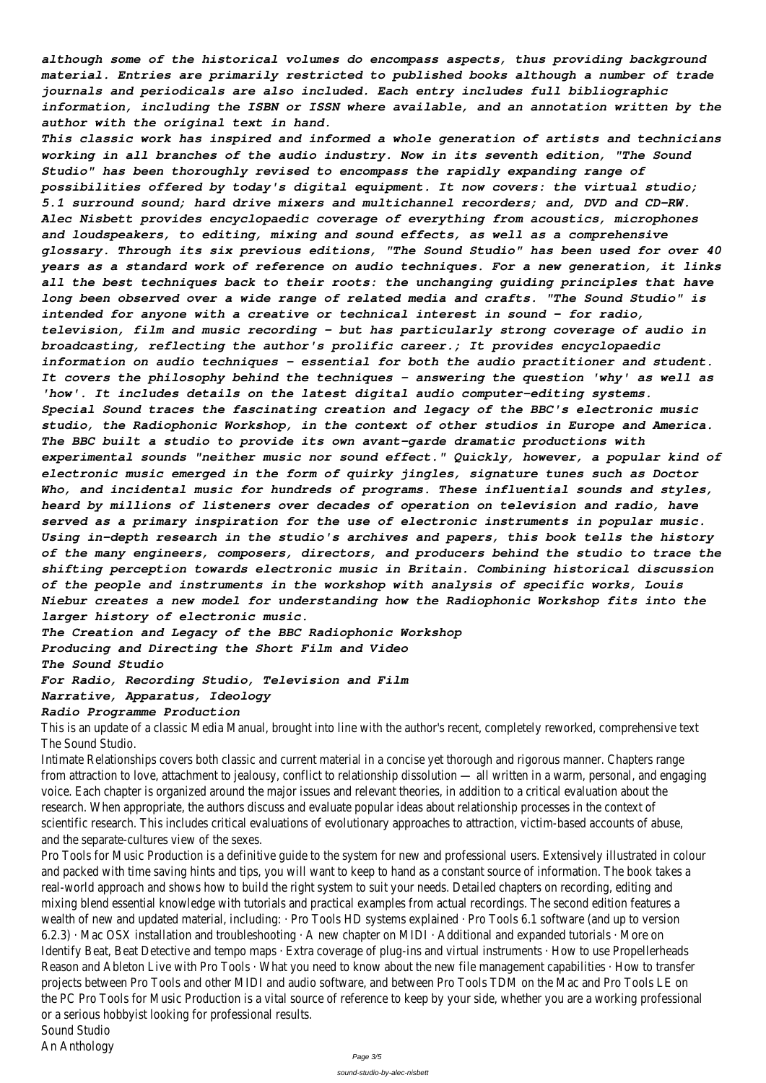*although some of the historical volumes do encompass aspects, thus providing background material. Entries are primarily restricted to published books although a number of trade journals and periodicals are also included. Each entry includes full bibliographic information, including the ISBN or ISSN where available, and an annotation written by the author with the original text in hand.*

*This classic work has inspired and informed a whole generation of artists and technicians working in all branches of the audio industry. Now in its seventh edition, "The Sound Studio" has been thoroughly revised to encompass the rapidly expanding range of possibilities offered by today's digital equipment. It now covers: the virtual studio; 5.1 surround sound; hard drive mixers and multichannel recorders; and, DVD and CD-RW. Alec Nisbett provides encyclopaedic coverage of everything from acoustics, microphones and loudspeakers, to editing, mixing and sound effects, as well as a comprehensive glossary. Through its six previous editions, "The Sound Studio" has been used for over 40 years as a standard work of reference on audio techniques. For a new generation, it links all the best techniques back to their roots: the unchanging guiding principles that have long been observed over a wide range of related media and crafts. "The Sound Studio" is intended for anyone with a creative or technical interest in sound - for radio, television, film and music recording - but has particularly strong coverage of audio in broadcasting, reflecting the author's prolific career.; It provides encyclopaedic information on audio techniques - essential for both the audio practitioner and student. It covers the philosophy behind the techniques - answering the question 'why' as well as 'how'. It includes details on the latest digital audio computer-editing systems. Special Sound traces the fascinating creation and legacy of the BBC's electronic music studio, the Radiophonic Workshop, in the context of other studios in Europe and America. The BBC built a studio to provide its own avant-garde dramatic productions with experimental sounds "neither music nor sound effect." Quickly, however, a popular kind of electronic music emerged in the form of quirky jingles, signature tunes such as Doctor Who, and incidental music for hundreds of programs. These influential sounds and styles, heard by millions of listeners over decades of operation on television and radio, have served as a primary inspiration for the use of electronic instruments in popular music. Using in-depth research in the studio's archives and papers, this book tells the history of the many engineers, composers, directors, and producers behind the studio to trace the shifting perception towards electronic music in Britain. Combining historical discussion of the people and instruments in the workshop with analysis of specific works, Louis Niebur creates a new model for understanding how the Radiophonic Workshop fits into the larger history of electronic music.*

*The Creation and Legacy of the BBC Radiophonic Workshop*

*Producing and Directing the Short Film and Video*

*The Sound Studio*

*For Radio, Recording Studio, Television and Film*

### *Narrative, Apparatus, Ideology*

### *Radio Programme Production*

This is an update of a classic Media Manual, brought into line with the author's recent, completely reworked, comprehensive text The Sound Studio.

Intimate Relationships covers both classic and current material in a concise yet thorough and rigorous manner. Chapters range from attraction to love, attachment to jealousy, conflict to relationship dissolution — all written in a warm, personal, and engaging voice. Each chapter is organized around the major issues and relevant theories, in addition to a critical evaluation about the research. When appropriate, the authors discuss and evaluate popular ideas about relationship processes in the context of

scientific research. This includes critical evaluations of evolutionary approaches to attraction, victim-based accounts of abuse, and the separate-cultures view of the sexes.

Pro Tools for Music Production is a definitive guide to the system for new and professional users. Extensively illustrated in colour and packed with time saving hints and tips, you will want to keep to hand as a constant source of information. The book takes a real-world approach and shows how to build the right system to suit your needs. Detailed chapters on recording, editing and mixing blend essential knowledge with tutorials and practical examples from actual recordings. The second edition features a wealth of new and updated material, including: · Pro Tools HD systems explained · Pro Tools 6.1 software (and up to version 6.2.3) · Mac OSX installation and troubleshooting · A new chapter on MIDI · Additional and expanded tutorials · More on Identify Beat, Beat Detective and tempo maps · Extra coverage of plug-ins and virtual instruments · How to use Propellerheads Reason and Ableton Live with Pro Tools · What you need to know about the new file management capabilities · How to transfer projects between Pro Tools and other MIDI and audio software, and between Pro Tools TDM on the Mac and Pro Tools LE on the PC Pro Tools for Music Production is a vital source of reference to keep by your side, whether you are a working professional or a serious hobbyist looking for professional results.

Sound Studio

An Anthology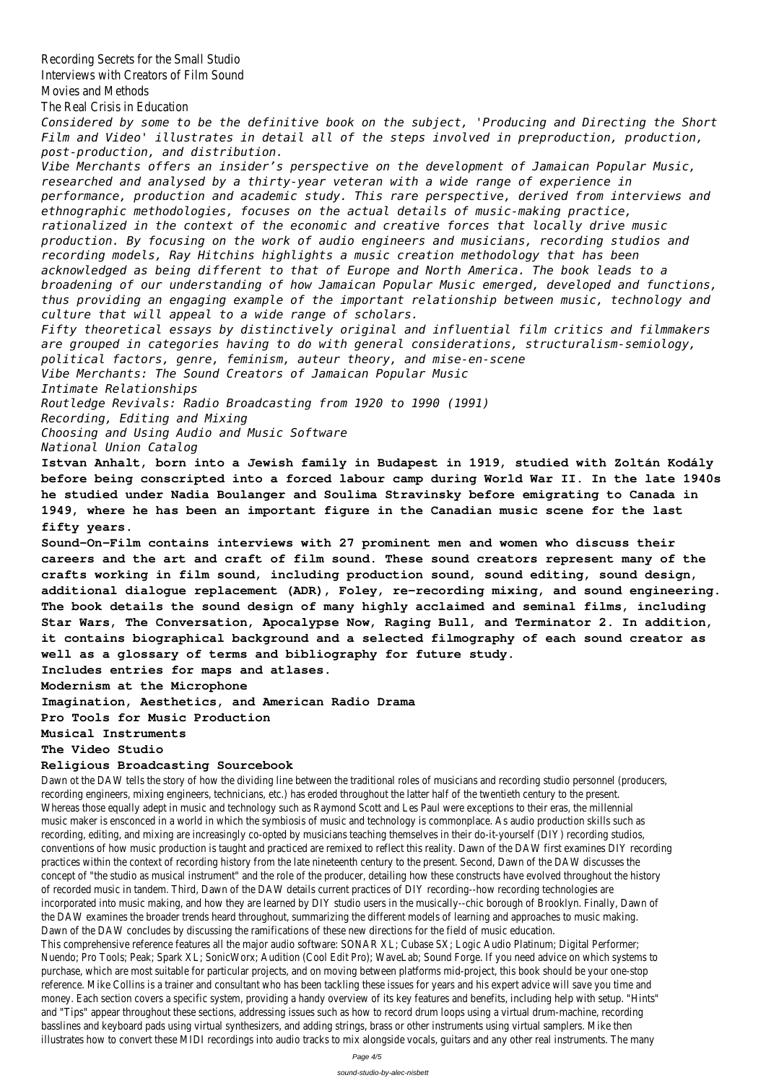Recording Secrets for the Small Studio Interviews with Creators of Film Sound Movies and Methods The Real Crisis in Education *Considered by some to be the definitive book on the subject, 'Producing and Directing the Short Film and Video' illustrates in detail all of the steps involved in preproduction, production, post-production, and distribution. Vibe Merchants offers an insider's perspective on the development of Jamaican Popular Music, researched and analysed by a thirty-year veteran with a wide range of experience in performance, production and academic study. This rare perspective, derived from interviews and ethnographic methodologies, focuses on the actual details of music-making practice, rationalized in the context of the economic and creative forces that locally drive music production. By focusing on the work of audio engineers and musicians, recording studios and recording models, Ray Hitchins highlights a music creation methodology that has been acknowledged as being different to that of Europe and North America. The book leads to a broadening of our understanding of how Jamaican Popular Music emerged, developed and functions, thus providing an engaging example of the important relationship between music, technology and culture that will appeal to a wide range of scholars. Fifty theoretical essays by distinctively original and influential film critics and filmmakers are grouped in categories having to do with general considerations, structuralism-semiology, political factors, genre, feminism, auteur theory, and mise-en-scene Vibe Merchants: The Sound Creators of Jamaican Popular Music Intimate Relationships Routledge Revivals: Radio Broadcasting from 1920 to 1990 (1991) Recording, Editing and Mixing Choosing and Using Audio and Music Software National Union Catalog* **Istvan Anhalt, born into a Jewish family in Budapest in 1919, studied with Zoltán Kodály before being conscripted into a forced labour camp during World War II. In the late 1940s he studied under Nadia Boulanger and Soulima Stravinsky before emigrating to Canada in 1949, where he has been an important figure in the Canadian music scene for the last fifty years. Sound-On-Film contains interviews with 27 prominent men and women who discuss their careers and the art and craft of film sound. These sound creators represent many of the crafts working in film sound, including production sound, sound editing, sound design, additional dialogue replacement (ADR), Foley, re-recording mixing, and sound engineering. The book details the sound design of many highly acclaimed and seminal films, including Star Wars, The Conversation, Apocalypse Now, Raging Bull, and Terminator 2. In addition, it contains biographical background and a selected filmography of each sound creator as well as a glossary of terms and bibliography for future study. Includes entries for maps and atlases. Modernism at the Microphone Imagination, Aesthetics, and American Radio Drama Pro Tools for Music Production Musical Instruments The Video Studio Religious Broadcasting Sourcebook**

Dawn ot the DAW tells the story of how the dividing line between the traditional roles of musicians and recording studio personnel (producers, recording engineers, mixing engineers, technicians, etc.) has eroded throughout the latter half of the twentieth century to the present. Whereas those equally adept in music and technology such as Raymond Scott and Les Paul were exceptions to their eras, the millennial

music maker is ensconced in a world in which the symbiosis of music and technology is commonplace. As audio production skills such as recording, editing, and mixing are increasingly co-opted by musicians teaching themselves in their do-it-yourself (DIY) recording studios, conventions of how music production is taught and practiced are remixed to reflect this reality. Dawn of the DAW first examines DIY recording practices within the context of recording history from the late nineteenth century to the present. Second, Dawn of the DAW discusses the concept of "the studio as musical instrument" and the role of the producer, detailing how these constructs have evolved throughout the history of recorded music in tandem. Third, Dawn of the DAW details current practices of DIY recording--how recording technologies are incorporated into music making, and how they are learned by DIY studio users in the musically--chic borough of Brooklyn. Finally, Dawn of the DAW examines the broader trends heard throughout, summarizing the different models of learning and approaches to music making. Dawn of the DAW concludes by discussing the ramifications of these new directions for the field of music education. This comprehensive reference features all the major audio software: SONAR XL; Cubase SX; Logic Audio Platinum; Digital Performer; Nuendo; Pro Tools; Peak; Spark XL; SonicWorx; Audition (Cool Edit Pro); WaveLab; Sound Forge. If you need advice on which systems to purchase, which are most suitable for particular projects, and on moving between platforms mid-project, this book should be your one-stop reference. Mike Collins is a trainer and consultant who has been tackling these issues for years and his expert advice will save you time and money. Each section covers a specific system, providing a handy overview of its key features and benefits, including help with setup. "Hints" and "Tips" appear throughout these sections, addressing issues such as how to record drum loops using a virtual drum-machine, recording basslines and keyboard pads using virtual synthesizers, and adding strings, brass or other instruments using virtual samplers. Mike then illustrates how to convert these MIDI recordings into audio tracks to mix alongside vocals, guitars and any other real instruments. The many